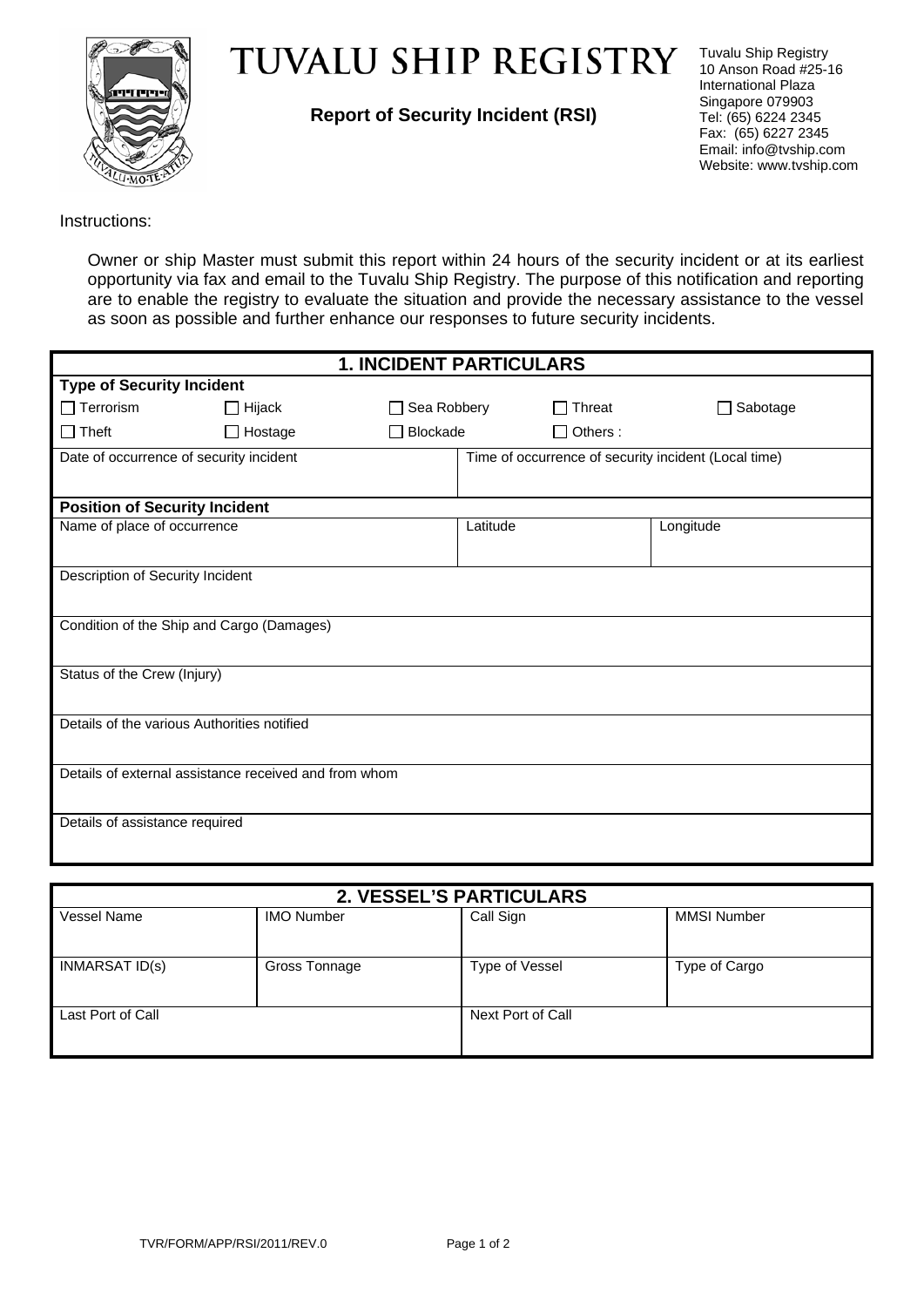

## **TUVALU SHIP REGISTRY**

**Report of Security Incident (RSI)** 

Tuvalu Ship Registry 10 Anson Road #25-16 International Plaza Singapore 079903 Tel: (65) 6224 2345 Fax: (65) 6227 2345 Email: info@tvship.com Website: www.tvship.com

Instructions:

Owner or ship Master must submit this report within 24 hours of the security incident or at its earliest opportunity via fax and email to the Tuvalu Ship Registry. The purpose of this notification and reporting are to enable the registry to evaluate the situation and provide the necessary assistance to the vessel as soon as possible and further enhance our responses to future security incidents.

| <b>1. INCIDENT PARTICULARS</b>                        |                |                                                      |          |                 |                 |  |  |
|-------------------------------------------------------|----------------|------------------------------------------------------|----------|-----------------|-----------------|--|--|
| <b>Type of Security Incident</b>                      |                |                                                      |          |                 |                 |  |  |
| $\Box$ Terrorism                                      | $\Box$ Hijack  | Sea Robbery<br>$\Box$                                |          | $\Box$ Threat   | $\Box$ Sabotage |  |  |
| ∐ Theft                                               | $\Box$ Hostage | Blockade<br>$\mathbf{I}$                             |          | $\Box$ Others : |                 |  |  |
| Date of occurrence of security incident               |                | Time of occurrence of security incident (Local time) |          |                 |                 |  |  |
|                                                       |                |                                                      |          |                 |                 |  |  |
| <b>Position of Security Incident</b>                  |                |                                                      |          |                 |                 |  |  |
| Name of place of occurrence                           |                |                                                      | Latitude |                 | Longitude       |  |  |
|                                                       |                |                                                      |          |                 |                 |  |  |
| Description of Security Incident                      |                |                                                      |          |                 |                 |  |  |
|                                                       |                |                                                      |          |                 |                 |  |  |
| Condition of the Ship and Cargo (Damages)             |                |                                                      |          |                 |                 |  |  |
|                                                       |                |                                                      |          |                 |                 |  |  |
| Status of the Crew (Injury)                           |                |                                                      |          |                 |                 |  |  |
|                                                       |                |                                                      |          |                 |                 |  |  |
| Details of the various Authorities notified           |                |                                                      |          |                 |                 |  |  |
|                                                       |                |                                                      |          |                 |                 |  |  |
| Details of external assistance received and from whom |                |                                                      |          |                 |                 |  |  |
|                                                       |                |                                                      |          |                 |                 |  |  |
| Details of assistance required                        |                |                                                      |          |                 |                 |  |  |
|                                                       |                |                                                      |          |                 |                 |  |  |

| 2. VESSEL'S PARTICULARS |                   |                   |                    |  |  |
|-------------------------|-------------------|-------------------|--------------------|--|--|
| Vessel Name             | <b>IMO Number</b> | Call Sign         | <b>MMSI Number</b> |  |  |
| INMARSAT ID(s)          | Gross Tonnage     | Type of Vessel    | Type of Cargo      |  |  |
| Last Port of Call       |                   | Next Port of Call |                    |  |  |